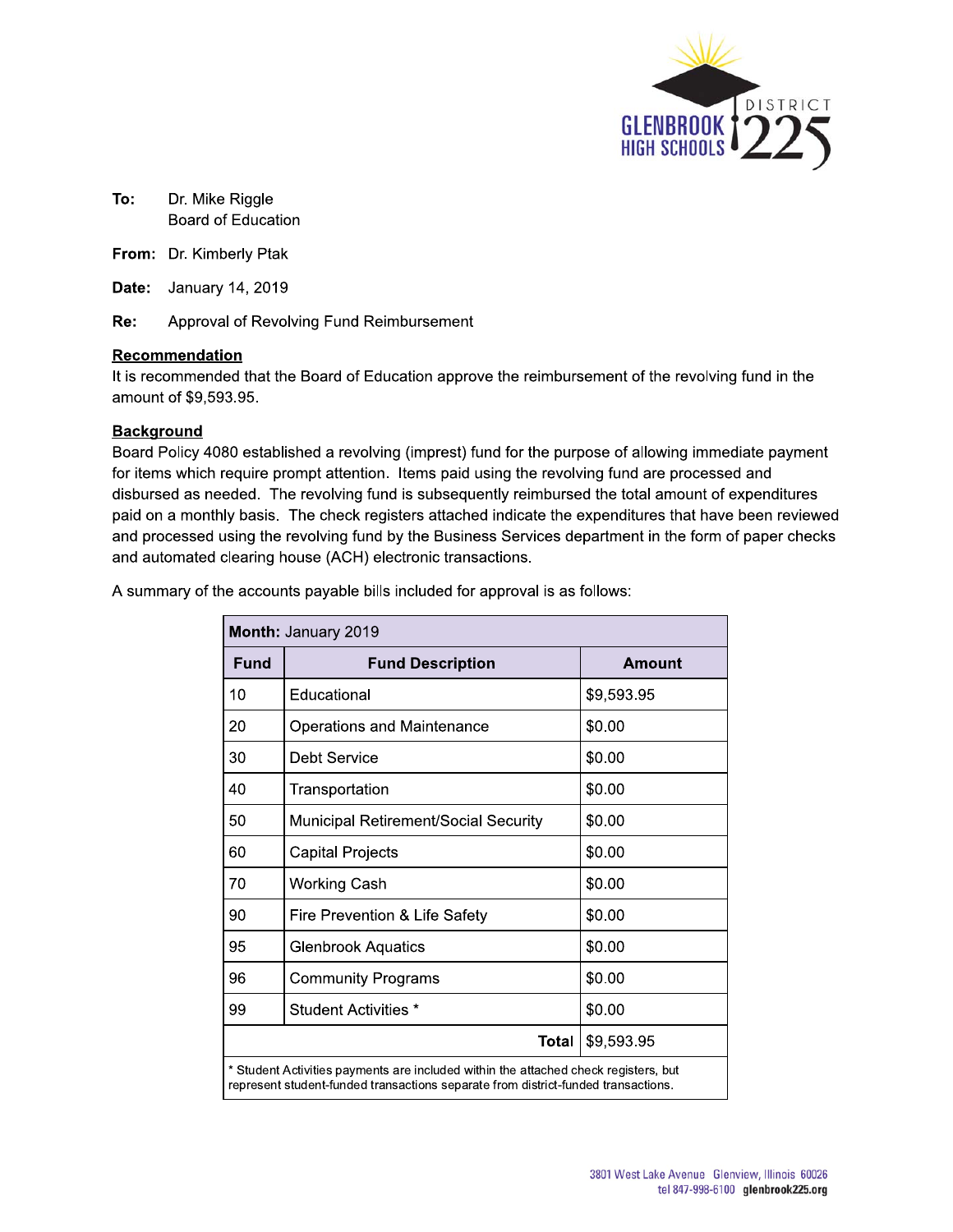

- To: Dr. Mike Riggle Board of Education
- From: Dr. Kimberly Ptak
- **Date:** January 14, 2019

Re: Approval of Revolving Fund Reimbursement

#### Recommendation

It is recommended that the Board of Education approve the reimbursement of the revolving fund in the amount of \$9,593.95.

#### **Background**

Board Policy 4080 established a revolving (imprest) fund for the purpose of allowing immediate payment for items which require prompt attention. Items paid using the revolving fund are processed and disbursed as needed. The revolving fund is subsequently reimbursed the total amount of expenditures paid on a monthly basis. The check registers attached indicate the expenditures that have been reviewed and processed using the revolving fund by the Business Services department in the form of paper checks and automated clearing house (ACH) electronic transactions.

A summary of the accounts payable bills included for approval is as follows:

| Month: January 2019 |                                                                                                                                                                          |            |  |  |  |  |
|---------------------|--------------------------------------------------------------------------------------------------------------------------------------------------------------------------|------------|--|--|--|--|
| Fund                | <b>Fund Description</b>                                                                                                                                                  | Amount     |  |  |  |  |
| 10                  | Educational                                                                                                                                                              | \$9,593.95 |  |  |  |  |
| 20                  | <b>Operations and Maintenance</b>                                                                                                                                        | \$0.00     |  |  |  |  |
| 30                  | Debt Service                                                                                                                                                             | \$0.00     |  |  |  |  |
| 40                  | Transportation                                                                                                                                                           | \$0.00     |  |  |  |  |
| 50                  | <b>Municipal Retirement/Social Security</b>                                                                                                                              | \$0.00     |  |  |  |  |
| 60                  | Capital Projects                                                                                                                                                         | \$0.00     |  |  |  |  |
| 70                  | <b>Working Cash</b>                                                                                                                                                      | \$0.00     |  |  |  |  |
| 90                  | Fire Prevention & Life Safety                                                                                                                                            | \$0.00     |  |  |  |  |
| 95                  | <b>Glenbrook Aquatics</b>                                                                                                                                                | \$0.00     |  |  |  |  |
| 96                  | <b>Community Programs</b>                                                                                                                                                | \$0.00     |  |  |  |  |
| 99                  | Student Activities *                                                                                                                                                     | \$0.00     |  |  |  |  |
|                     | \$9,593.95<br>Total                                                                                                                                                      |            |  |  |  |  |
|                     | * Student Activities payments are included within the attached check registers, but<br>represent student-funded transactions separate from district-funded transactions. |            |  |  |  |  |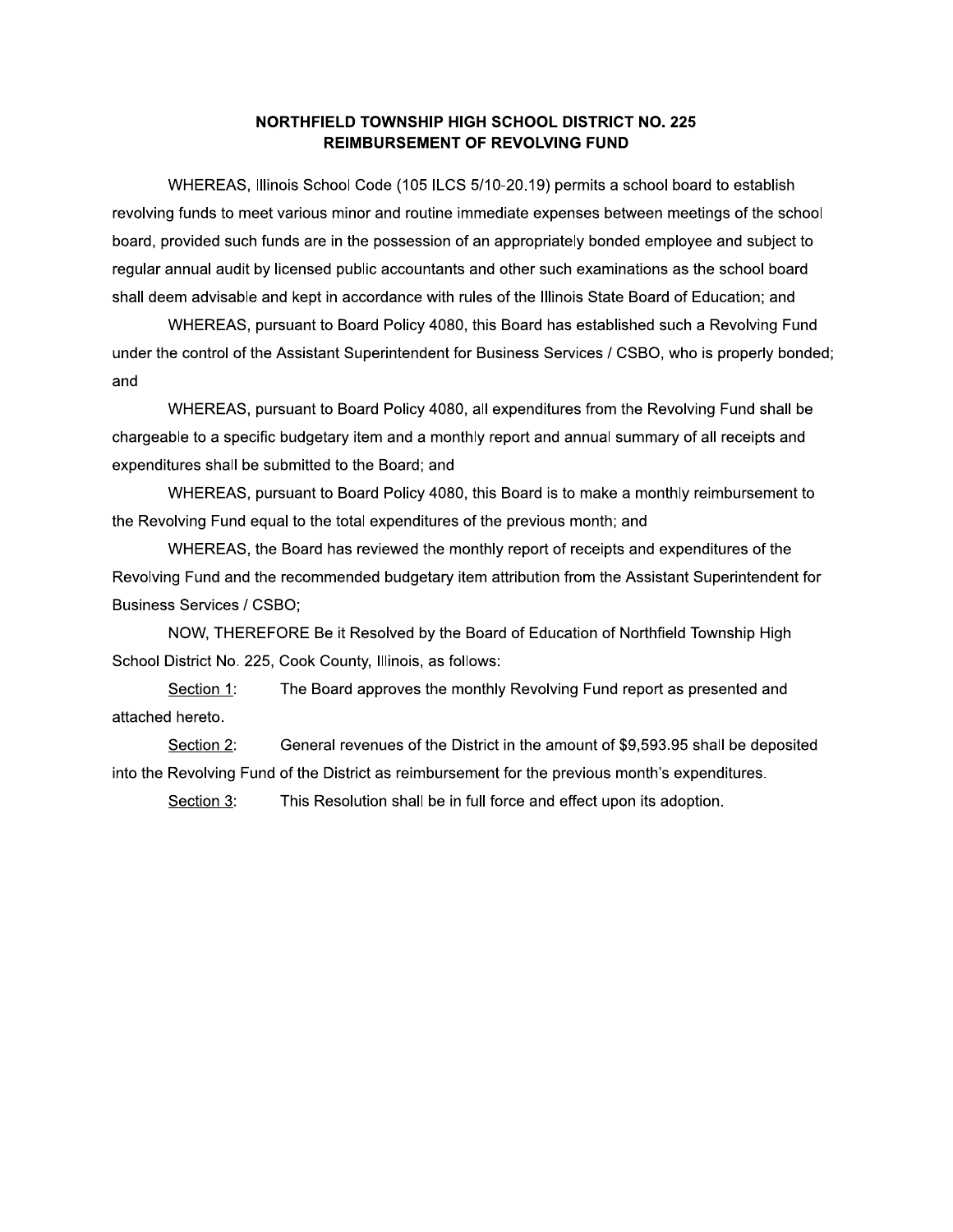#### NORTHFIELD TOWNSHIP HIGH SCHOOL DISTRICT NO. 225 **REIMBURSEMENT OF REVOLVING FUND**

WHEREAS, Illinois School Code (105 ILCS 5/10-20.19) permits a school board to establish revolving funds to meet various minor and routine immediate expenses between meetings of the school board, provided such funds are in the possession of an appropriately bonded employee and subject to regular annual audit by licensed public accountants and other such examinations as the school board shall deem advisable and kept in accordance with rules of the Illinois State Board of Education; and

WHEREAS, pursuant to Board Policy 4080, this Board has established such a Revolving Fund under the control of the Assistant Superintendent for Business Services / CSBO, who is properly bonded; and

WHEREAS, pursuant to Board Policy 4080, all expenditures from the Revolving Fund shall be chargeable to a specific budgetary item and a monthly report and annual summary of all receipts and expenditures shall be submitted to the Board; and

WHEREAS, pursuant to Board Policy 4080, this Board is to make a monthly reimbursement to the Revolving Fund equal to the total expenditures of the previous month; and

WHEREAS, the Board has reviewed the monthly report of receipts and expenditures of the Revolving Fund and the recommended budgetary item attribution from the Assistant Superintendent for **Business Services / CSBO;** 

NOW, THEREFORE Be it Resolved by the Board of Education of Northfield Township High School District No. 225, Cook County, Illinois, as follows:

The Board approves the monthly Revolving Fund report as presented and Section 1: attached hereto.

Section 2: General revenues of the District in the amount of \$9,593.95 shall be deposited into the Revolving Fund of the District as reimbursement for the previous month's expenditures.

Section 3: This Resolution shall be in full force and effect upon its adoption.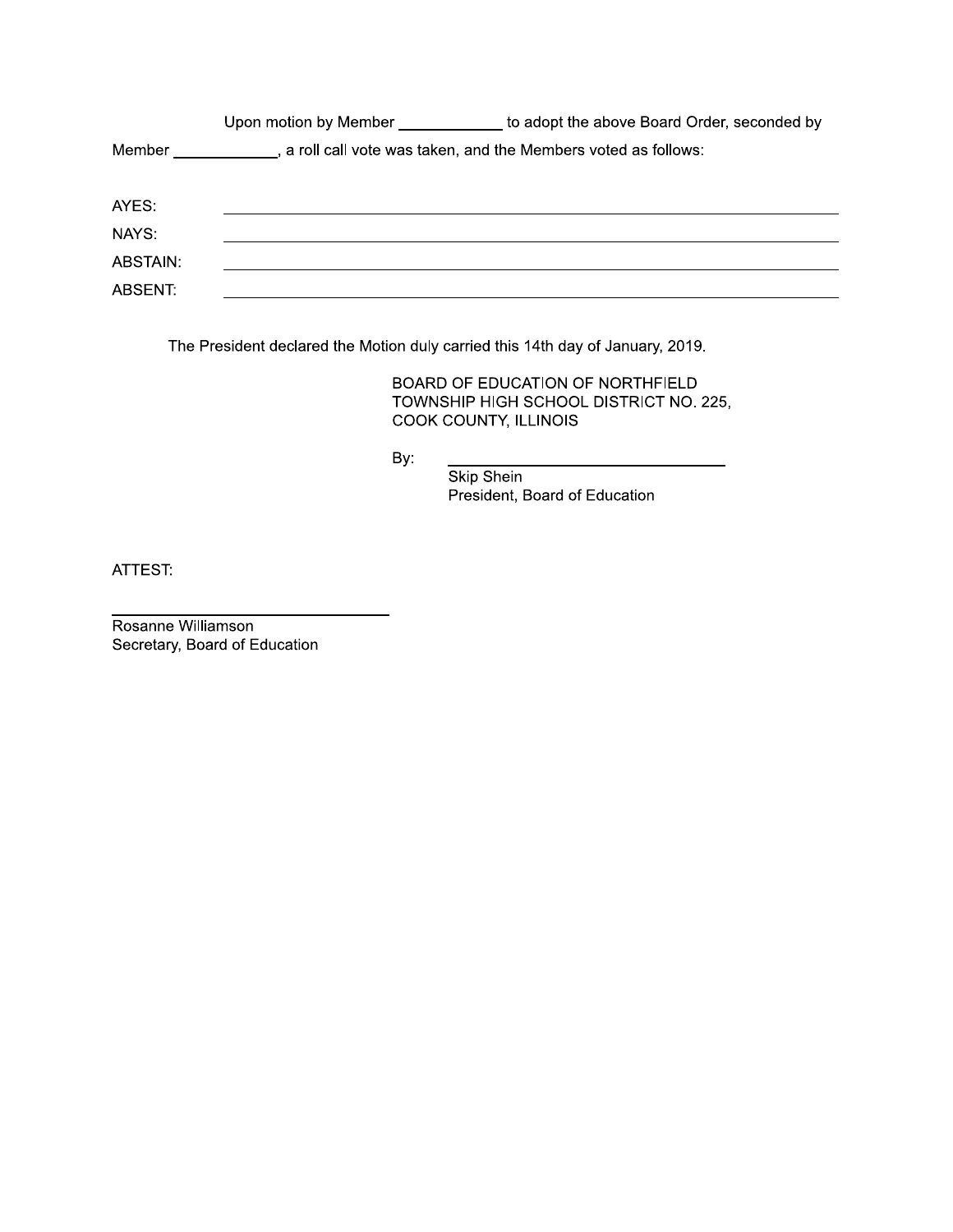|          | Upon motion by Member | to adopt the above Board Order, seconded by                     |
|----------|-----------------------|-----------------------------------------------------------------|
| Member   |                       | , a roll call vote was taken, and the Members voted as follows: |
| AYES:    |                       |                                                                 |
| NAYS:    |                       |                                                                 |
| ABSTAIN: |                       |                                                                 |
| ABSENT:  |                       |                                                                 |

The President declared the Motion duly carried this 14th day of January, 2019.

BOARD OF EDUCATION OF NORTHFIELD TOWNSHIP HIGH SCHOOL DISTRICT NO. 225, COOK COUNTY, ILLINOIS

By:

Skip Shein President, Board of Education

ATTEST:

Rosanne Williamson Secretary, Board of Education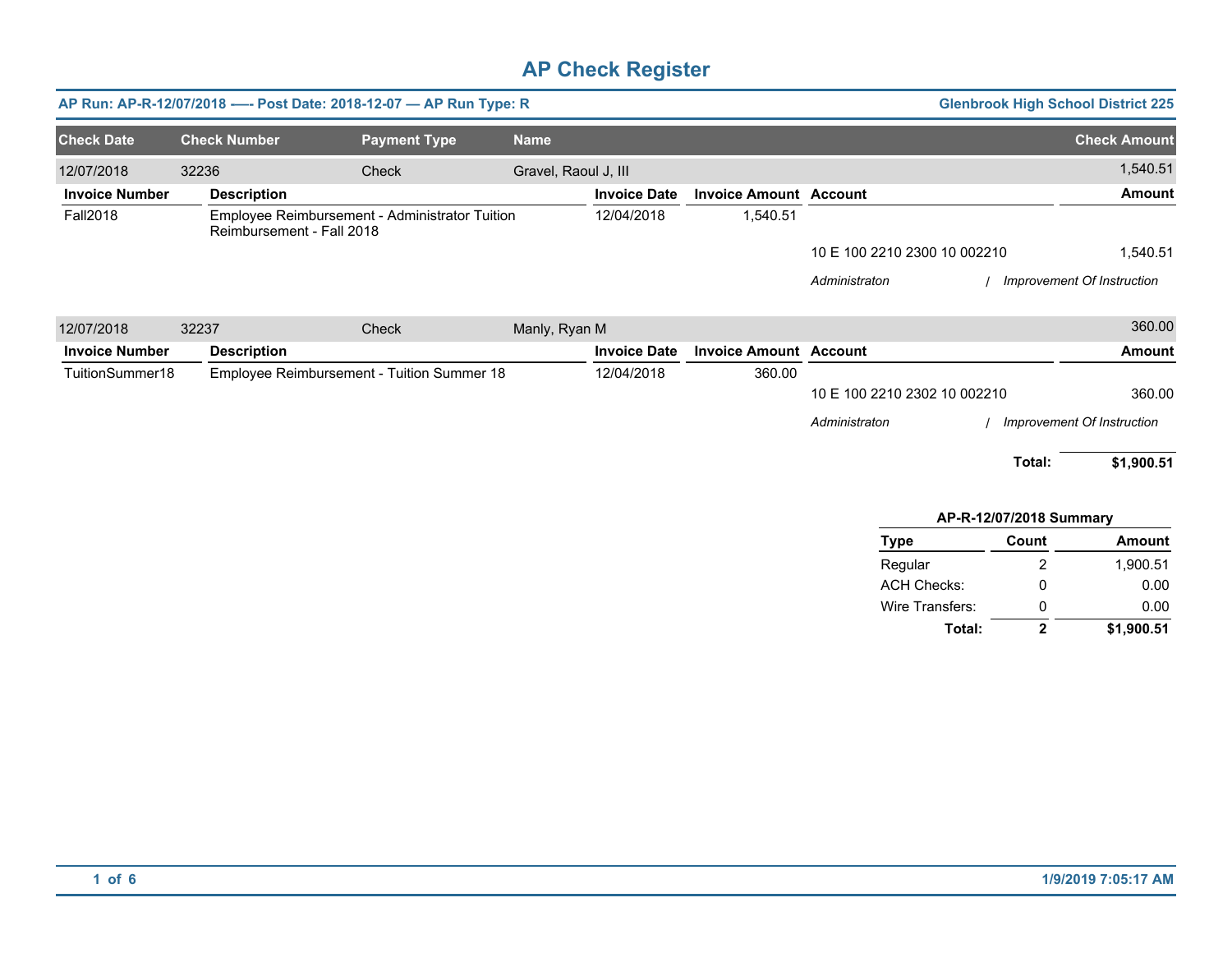|                       |                           | AP Run: AP-R-12/07/2018 ---- Post Date: 2018-12-07 - AP Run Type: R |                      |                     |                               |                              | <b>Glenbrook High School District 225</b> |                            |
|-----------------------|---------------------------|---------------------------------------------------------------------|----------------------|---------------------|-------------------------------|------------------------------|-------------------------------------------|----------------------------|
| <b>Check Date</b>     | <b>Check Number</b>       | <b>Payment Type</b>                                                 | <b>Name</b>          |                     |                               |                              |                                           | <b>Check Amount</b>        |
| 12/07/2018            | 32236                     | Check                                                               | Gravel, Raoul J, III |                     |                               |                              |                                           | 1,540.51                   |
| <b>Invoice Number</b> | <b>Description</b>        |                                                                     |                      | <b>Invoice Date</b> | <b>Invoice Amount Account</b> |                              |                                           | <b>Amount</b>              |
| <b>Fall2018</b>       | Reimbursement - Fall 2018 | Employee Reimbursement - Administrator Tuition                      |                      | 12/04/2018          | 1,540.51                      |                              |                                           |                            |
|                       |                           |                                                                     |                      |                     |                               | 10 E 100 2210 2300 10 002210 |                                           | 1,540.51                   |
|                       |                           |                                                                     |                      |                     |                               | Administraton                |                                           | Improvement Of Instruction |
| 12/07/2018            | 32237                     | Check                                                               | Manly, Ryan M        |                     |                               |                              |                                           | 360.00                     |
| <b>Invoice Number</b> | <b>Description</b>        |                                                                     |                      | <b>Invoice Date</b> | <b>Invoice Amount Account</b> |                              |                                           | <b>Amount</b>              |
| TuitionSummer18       |                           | Employee Reimbursement - Tuition Summer 18                          |                      | 12/04/2018          | 360.00                        |                              |                                           |                            |
|                       |                           |                                                                     |                      |                     |                               | 10 E 100 2210 2302 10 002210 |                                           | 360.00                     |
|                       |                           |                                                                     |                      |                     |                               | Administraton                |                                           | Improvement Of Instruction |
|                       |                           |                                                                     |                      |                     |                               |                              | Total:                                    | \$1,900.51                 |
|                       |                           |                                                                     |                      |                     |                               |                              | AP-R-12/07/2018 Summary                   |                            |

| <b>Type</b>        | Count | <b>Amount</b> |
|--------------------|-------|---------------|
| Regular            | 2     | 1.900.51      |
| <b>ACH Checks:</b> | Ω     | 0.00          |
| Wire Transfers:    | 0     | 0.00          |
| Total:             | 2     | \$1,900.51    |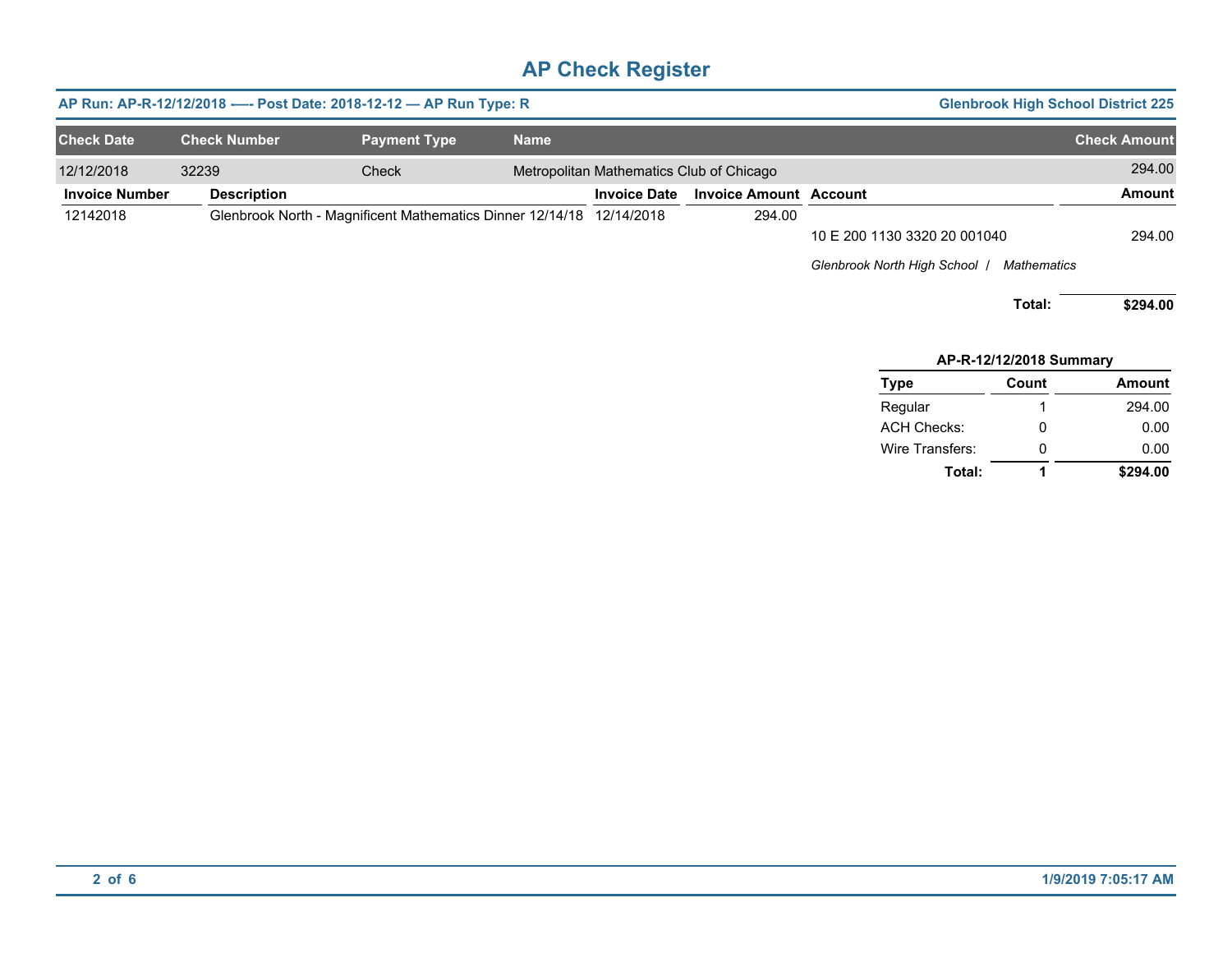| AP Run: AP-R-12/12/2018 ---- Post Date: 2018-12-12 - AP Run Type: R |                     |                                                                      |             |                                          |                               |                                                               | <b>Glenbrook High School District 225</b> |                     |
|---------------------------------------------------------------------|---------------------|----------------------------------------------------------------------|-------------|------------------------------------------|-------------------------------|---------------------------------------------------------------|-------------------------------------------|---------------------|
| <b>Check Date</b>                                                   | <b>Check Number</b> | <b>Payment Type</b>                                                  | <b>Name</b> |                                          |                               |                                                               |                                           | <b>Check Amount</b> |
| 12/12/2018                                                          | 32239               | Check                                                                |             | Metropolitan Mathematics Club of Chicago |                               |                                                               |                                           | 294.00              |
| <b>Invoice Number</b>                                               | <b>Description</b>  |                                                                      |             | <b>Invoice Date</b>                      | <b>Invoice Amount Account</b> |                                                               |                                           | <b>Amount</b>       |
| 12142018                                                            |                     | Glenbrook North - Magnificent Mathematics Dinner 12/14/18 12/14/2018 |             |                                          | 294.00                        | 10 E 200 1130 3320 20 001040<br>Glenbrook North High School / | <b>Mathematics</b><br>Total:              | 294.00<br>\$294.00  |
|                                                                     |                     |                                                                      |             |                                          |                               |                                                               | AP-R-12/12/2018 Summary                   |                     |
|                                                                     |                     |                                                                      |             |                                          |                               | Type                                                          | Count                                     | <b>Amount</b>       |
|                                                                     |                     |                                                                      |             |                                          |                               | Regular                                                       |                                           | 294.00              |
|                                                                     |                     |                                                                      |             |                                          |                               | <b>ACH Checks:</b>                                            | 0                                         | 0.00                |

**Total:**

0 **1**

**\$294.00**

0.00

Wire Transfers: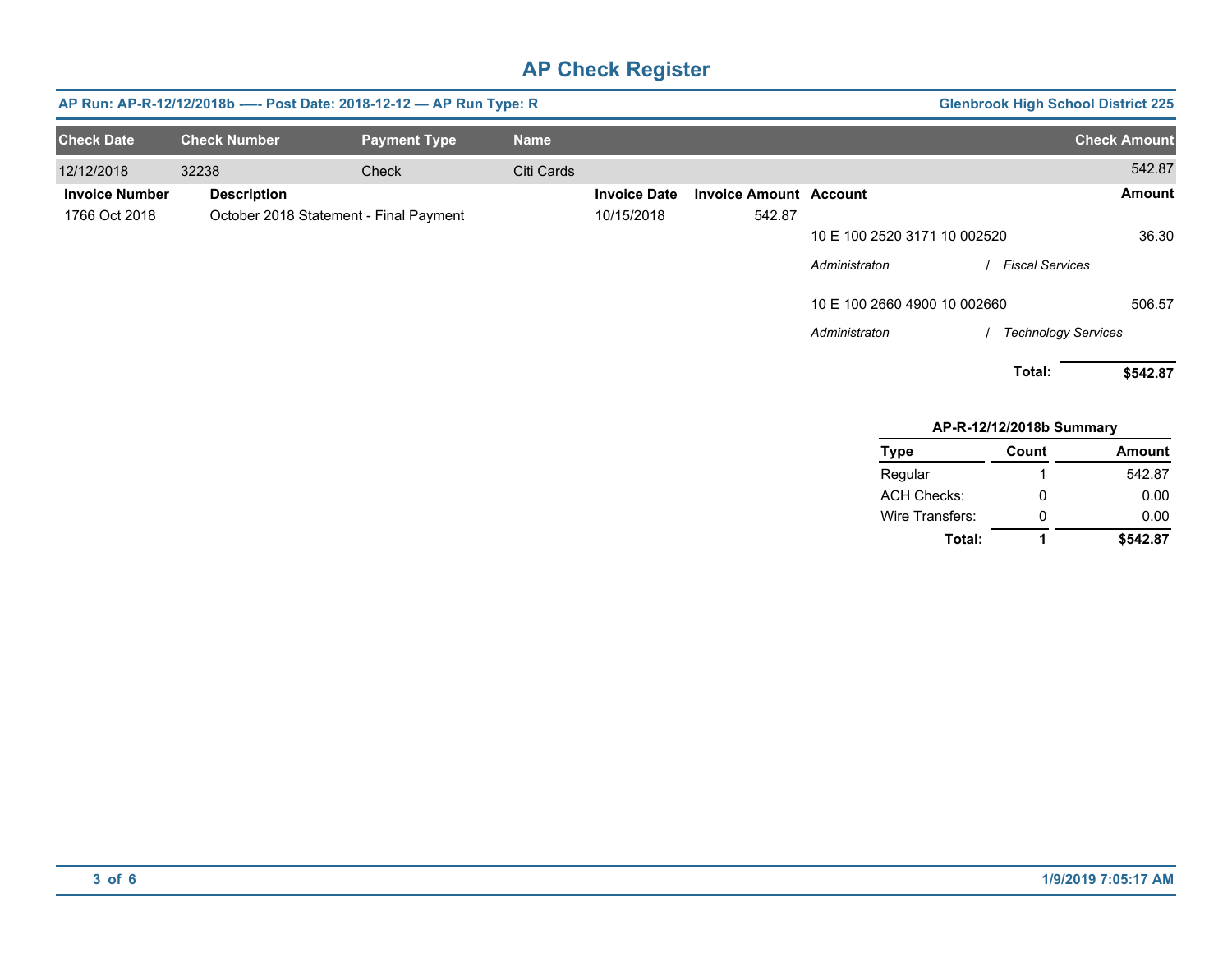|                       |                     | AP Run: AP-R-12/12/2018b ---- Post Date: 2018-12-12 - AP Run Type: R |             |                     |                               |                              |                            | <b>Glenbrook High School District 225</b> |
|-----------------------|---------------------|----------------------------------------------------------------------|-------------|---------------------|-------------------------------|------------------------------|----------------------------|-------------------------------------------|
| <b>Check Date</b>     | <b>Check Number</b> | <b>Payment Type</b>                                                  | <b>Name</b> |                     |                               |                              |                            | <b>Check Amount</b>                       |
| 12/12/2018            | 32238               | Check                                                                | Citi Cards  |                     |                               |                              |                            | 542.87                                    |
| <b>Invoice Number</b> | <b>Description</b>  |                                                                      |             | <b>Invoice Date</b> | <b>Invoice Amount Account</b> |                              |                            | <b>Amount</b>                             |
| 1766 Oct 2018         |                     | October 2018 Statement - Final Payment                               |             | 10/15/2018          | 542.87                        |                              |                            |                                           |
|                       |                     |                                                                      |             |                     |                               | 10 E 100 2520 3171 10 002520 |                            | 36.30                                     |
|                       |                     |                                                                      |             |                     |                               | Administraton                | Fiscal Services            |                                           |
|                       |                     |                                                                      |             |                     |                               | 10 E 100 2660 4900 10 002660 |                            | 506.57                                    |
|                       |                     |                                                                      |             |                     |                               | Administraton                | <b>Technology Services</b> |                                           |
|                       |                     |                                                                      |             |                     |                               |                              | Total:                     | \$542.87                                  |
|                       |                     |                                                                      |             |                     |                               |                              | AP-R-12/12/2018b Summary   |                                           |
|                       |                     |                                                                      |             |                     |                               | <b>Type</b>                  | Count                      | <b>Amount</b>                             |
|                       |                     |                                                                      |             |                     |                               | Regular                      |                            | 542.87                                    |
|                       |                     |                                                                      |             |                     |                               | <b>ACH Checks:</b>           | 0                          | 0.00                                      |
|                       |                     |                                                                      |             |                     |                               | Wire Transfers:              | 0                          | 0.00                                      |
|                       |                     |                                                                      |             |                     |                               | Total:                       | 1                          | \$542.87                                  |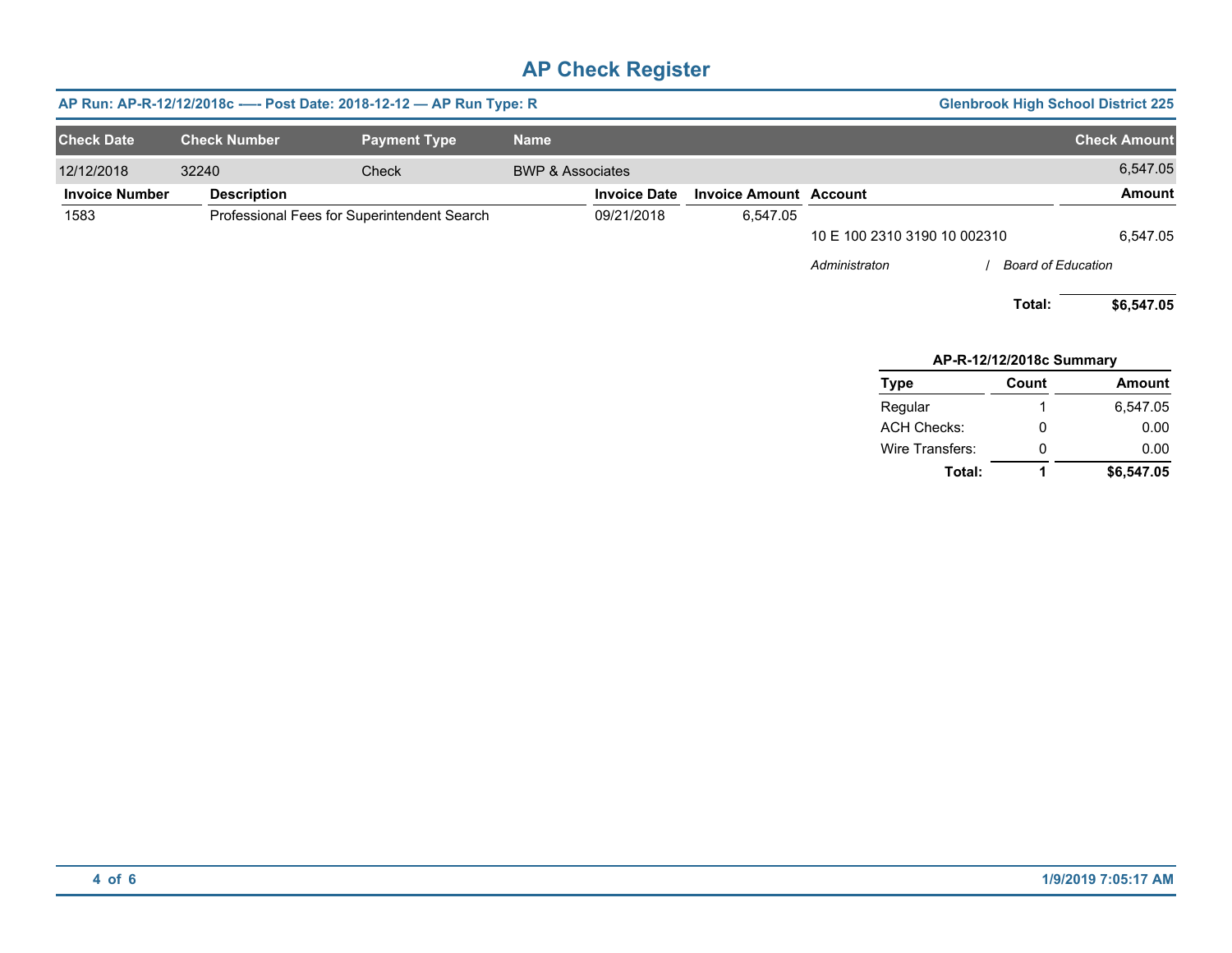|                       | AP Run: AP-R-12/12/2018c - - - Post Date: 2018-12-12 - AP Run Type: R |                                             |                             | <b>Glenbrook High School District 225</b> |                               |                              |                           |                     |
|-----------------------|-----------------------------------------------------------------------|---------------------------------------------|-----------------------------|-------------------------------------------|-------------------------------|------------------------------|---------------------------|---------------------|
| <b>Check Date</b>     | <b>Check Number</b>                                                   | <b>Payment Type</b>                         | <b>Name</b>                 |                                           |                               |                              |                           | <b>Check Amount</b> |
| 12/12/2018            | 32240                                                                 | Check                                       | <b>BWP &amp; Associates</b> |                                           |                               |                              |                           | 6,547.05            |
| <b>Invoice Number</b> | <b>Description</b>                                                    |                                             |                             | <b>Invoice Date</b>                       | <b>Invoice Amount Account</b> |                              |                           | Amount              |
| 1583                  |                                                                       | Professional Fees for Superintendent Search |                             | 09/21/2018                                | 6,547.05                      |                              |                           |                     |
|                       |                                                                       |                                             |                             |                                           |                               | 10 E 100 2310 3190 10 002310 |                           | 6,547.05            |
|                       |                                                                       |                                             |                             |                                           |                               | Administraton                | <b>Board of Education</b> |                     |
|                       |                                                                       |                                             |                             |                                           |                               |                              | Total:                    | \$6,547.05          |
|                       |                                                                       |                                             |                             |                                           |                               |                              | AP-R-12/12/2018c Summary  |                     |
|                       |                                                                       |                                             |                             |                                           |                               | <b>Type</b>                  | Count                     | <b>Amount</b>       |
|                       |                                                                       |                                             |                             |                                           |                               | Regular                      |                           | 6,547.05            |
|                       |                                                                       |                                             |                             |                                           |                               | <b>ACH Checks:</b>           | 0                         | 0.00                |
|                       |                                                                       |                                             |                             |                                           |                               | Wire Transfers:              | 0                         | 0.00                |

**Total: 1 \$6,547.05**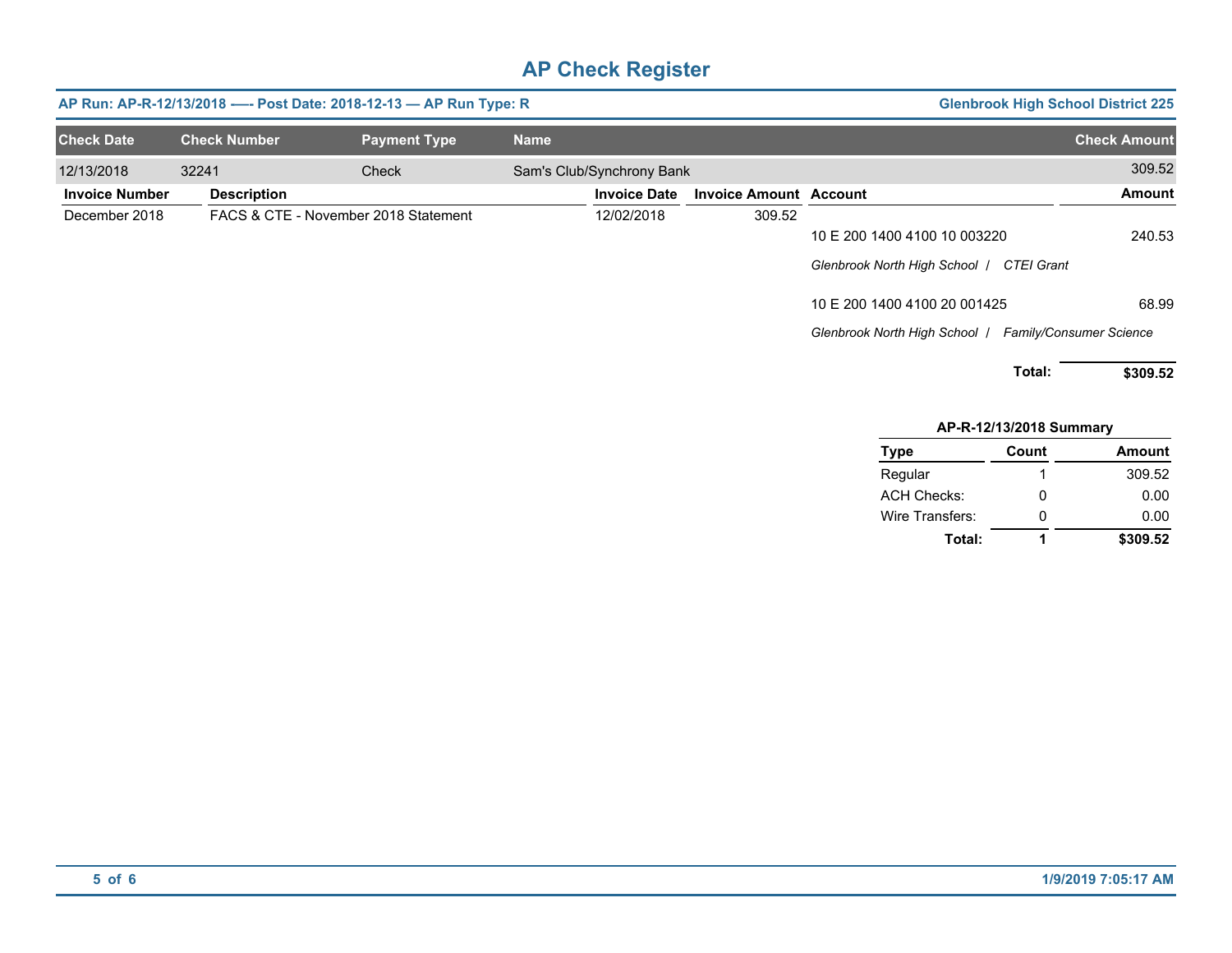|                     | <b>Glenbrook High School District 225</b> |                                                       | AP Run: AP-R-12/13/2018 ---- Post Date: 2018-12-13 - AP Run Type: R |                           |             |                                      |                     |                       |  |
|---------------------|-------------------------------------------|-------------------------------------------------------|---------------------------------------------------------------------|---------------------------|-------------|--------------------------------------|---------------------|-----------------------|--|
| <b>Check Amount</b> |                                           |                                                       |                                                                     |                           | <b>Name</b> | <b>Payment Type</b>                  | <b>Check Number</b> | <b>Check Date</b>     |  |
| 309.52              |                                           |                                                       |                                                                     | Sam's Club/Synchrony Bank |             | Check                                | 32241               | 12/13/2018            |  |
| <b>Amount</b>       |                                           |                                                       | <b>Invoice Amount Account</b>                                       | <b>Invoice Date</b>       |             |                                      | <b>Description</b>  | <b>Invoice Number</b> |  |
|                     |                                           |                                                       | 309.52                                                              | 12/02/2018                |             | FACS & CTE - November 2018 Statement |                     | December 2018         |  |
| 240.53              |                                           | 10 E 200 1400 4100 10 003220                          |                                                                     |                           |             |                                      |                     |                       |  |
|                     |                                           | Glenbrook North High School   CTEI Grant              |                                                                     |                           |             |                                      |                     |                       |  |
| 68.99               |                                           | 10 E 200 1400 4100 20 001425                          |                                                                     |                           |             |                                      |                     |                       |  |
|                     |                                           | Glenbrook North High School   Family/Consumer Science |                                                                     |                           |             |                                      |                     |                       |  |
| \$309.52            | Total:                                    |                                                       |                                                                     |                           |             |                                      |                     |                       |  |
|                     | AP-R-12/13/2018 Summary                   |                                                       |                                                                     |                           |             |                                      |                     |                       |  |
| <b>Amount</b>       | Count                                     | <b>Type</b>                                           |                                                                     |                           |             |                                      |                     |                       |  |
| 309.52              |                                           | Regular                                               |                                                                     |                           |             |                                      |                     |                       |  |
| 0.00                | 0                                         | <b>ACH Checks:</b>                                    |                                                                     |                           |             |                                      |                     |                       |  |
| 0.00                | 0                                         | Wire Transfers:                                       |                                                                     |                           |             |                                      |                     |                       |  |
| \$309.52            |                                           | Total:                                                |                                                                     |                           |             |                                      |                     |                       |  |